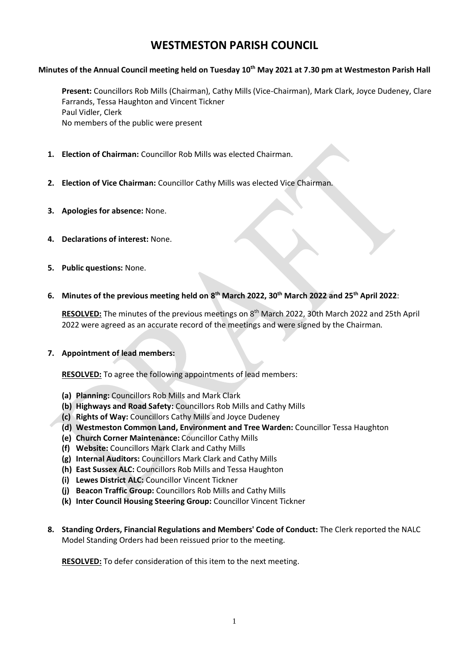# **WESTMESTON PARISH COUNCIL**

## **Minutes of the Annual Council meeting held on Tuesday 10th May 2021 at 7.30 pm at Westmeston Parish Hall**

**Present:** Councillors Rob Mills (Chairman), Cathy Mills (Vice-Chairman), Mark Clark, Joyce Dudeney, Clare Farrands, Tessa Haughton and Vincent Tickner Paul Vidler, Clerk No members of the public were present

- **1. Election of Chairman:** Councillor Rob Mills was elected Chairman.
- **2. Election of Vice Chairman:** Councillor Cathy Mills was elected Vice Chairman.
- **3. Apologies for absence:** None.
- **4. Declarations of interest:** None.
- **5. Public questions:** None.
- **6. Minutes of the previous meeting held on 8 th March 2022, 30th March 2022 and 25th April 2022**:

**RESOLVED:** The minutes of the previous meetings on 8 th March 2022, 30th March 2022 and 25th April 2022 were agreed as an accurate record of the meetings and were signed by the Chairman.

#### **7. Appointment of lead members:**

**RESOLVED:** To agree the following appointments of lead members:

- **(a) Planning:** Councillors Rob Mills and Mark Clark
- **(b) Highways and Road Safety:** Councillors Rob Mills and Cathy Mills
- **(c) Rights of Way:** Councillors Cathy Mills and Joyce Dudeney
- **(d) Westmeston Common Land, Environment and Tree Warden:** Councillor Tessa Haughton
- **(e) Church Corner Maintenance:** Councillor Cathy Mills
- **(f) Website:** Councillors Mark Clark and Cathy Mills
- **(g) Internal Auditors:** Councillors Mark Clark and Cathy Mills
- **(h) East Sussex ALC:** Councillors Rob Mills and Tessa Haughton
- **(i) Lewes District ALC:** Councillor Vincent Tickner
- **(j) Beacon Traffic Group:** Councillors Rob Mills and Cathy Mills
- **(k) Inter Council Housing Steering Group:** Councillor Vincent Tickner
- **8. Standing Orders, Financial Regulations and Members' Code of Conduct:** The Clerk reported the NALC Model Standing Orders had been reissued prior to the meeting.

**RESOLVED:** To defer consideration of this item to the next meeting.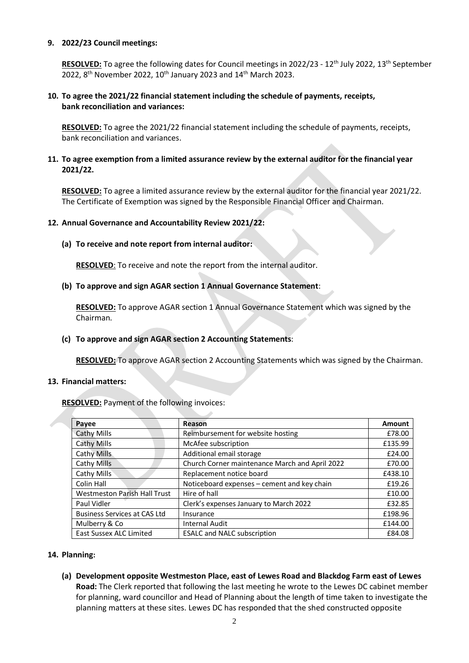#### **9. 2022/23 Council meetings:**

**RESOLVED:** To agree the following dates for Council meetings in 2022/23 - 12<sup>th</sup> July 2022, 13<sup>th</sup> September 2022,  $8^{th}$  November 2022, 10<sup>th</sup> January 2023 and 14<sup>th</sup> March 2023.

## **10. To agree the 2021/22 financial statement including the schedule of payments, receipts, bank reconciliation and variances:**

**RESOLVED:** To agree the 2021/22 financial statement including the schedule of payments, receipts, bank reconciliation and variances.

## **11. To agree exemption from a limited assurance review by the external auditor for the financial year 2021/22.**

**RESOLVED:** To agree a limited assurance review by the external auditor for the financial year 2021/22. The Certificate of Exemption was signed by the Responsible Financial Officer and Chairman.

## **12. Annual Governance and Accountability Review 2021/22:**

**(a) To receive and note report from internal auditor:**

**RESOLVED**: To receive and note the report from the internal auditor.

## **(b) To approve and sign AGAR section 1 Annual Governance Statement**:

**RESOLVED:** To approve AGAR section 1 Annual Governance Statement which was signed by the Chairman.

## **(c) To approve and sign AGAR section 2 Accounting Statements**:

**RESOLVED:** To approve AGAR section 2 Accounting Statements which was signed by the Chairman.

#### **13. Financial matters:**

**RESOLVED:** Payment of the following invoices:

| Payee                               | Reason                                         | Amount  |
|-------------------------------------|------------------------------------------------|---------|
| <b>Cathy Mills</b>                  | Reimbursement for website hosting              | £78.00  |
| Cathy Mills                         | McAfee subscription                            | £135.99 |
| Cathy Mills                         | Additional email storage                       | £24.00  |
| Cathy Mills                         | Church Corner maintenance March and April 2022 | £70.00  |
| Cathy Mills                         | Replacement notice board                       | £438.10 |
| Colin Hall                          | Noticeboard expenses - cement and key chain    | £19.26  |
| <b>Westmeston Parish Hall Trust</b> | Hire of hall                                   | £10.00  |
| Paul Vidler                         | Clerk's expenses January to March 2022         | £32.85  |
| <b>Business Services at CAS Ltd</b> | Insurance                                      | £198.96 |
| Mulberry & Co                       | <b>Internal Audit</b>                          | £144.00 |
| East Sussex ALC Limited             | <b>ESALC and NALC subscription</b>             | £84.08  |

#### **14. Planning:**

**(a) Development opposite Westmeston Place, east of Lewes Road and Blackdog Farm east of Lewes Road:** The Clerk reported that following the last meeting he wrote to the Lewes DC cabinet member for planning, ward councillor and Head of Planning about the length of time taken to investigate the planning matters at these sites. Lewes DC has responded that the shed constructed opposite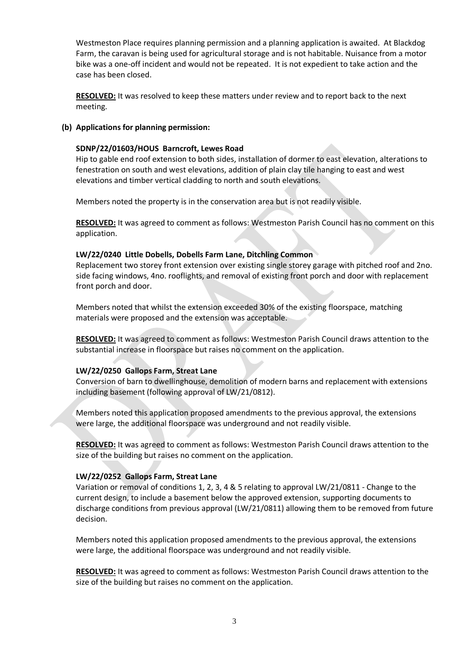Westmeston Place requires planning permission and a planning application is awaited. At Blackdog Farm, the caravan is being used for agricultural storage and is not habitable. Nuisance from a motor bike was a one-off incident and would not be repeated. It is not expedient to take action and the case has been closed.

**RESOLVED:** It was resolved to keep these matters under review and to report back to the next meeting.

## **(b) Applications for planning permission:**

## **SDNP/22/01603/HOUS Barncroft, Lewes Road**

Hip to gable end roof extension to both sides, installation of dormer to east elevation, alterations to fenestration on south and west elevations, addition of plain clay tile hanging to east and west elevations and timber vertical cladding to north and south elevations.

Members noted the property is in the conservation area but is not readily visible.

**RESOLVED:** It was agreed to comment as follows: Westmeston Parish Council has no comment on this application.

## **LW/22/0240 Little Dobells, Dobells Farm Lane, Ditchling Common**

Replacement two storey front extension over existing single storey garage with pitched roof and 2no. side facing windows, 4no. rooflights, and removal of existing front porch and door with replacement front porch and door.

Members noted that whilst the extension exceeded 30% of the existing floorspace, matching materials were proposed and the extension was acceptable.

**RESOLVED:** It was agreed to comment as follows: Westmeston Parish Council draws attention to the substantial increase in floorspace but raises no comment on the application.

# **LW/22/0250 Gallops Farm, Streat Lane**

Conversion of barn to dwellinghouse, demolition of modern barns and replacement with extensions including basement (following approval of LW/21/0812).

Members noted this application proposed amendments to the previous approval, the extensions were large, the additional floorspace was underground and not readily visible.

**RESOLVED:** It was agreed to comment as follows: Westmeston Parish Council draws attention to the size of the building but raises no comment on the application.

#### **LW/22/0252 Gallops Farm, Streat Lane**

Variation or removal of conditions 1, 2, 3, 4 & 5 relating to approval LW/21/0811 - Change to the current design, to include a basement below the approved extension, supporting documents to discharge conditions from previous approval (LW/21/0811) allowing them to be removed from future decision.

Members noted this application proposed amendments to the previous approval, the extensions were large, the additional floorspace was underground and not readily visible.

**RESOLVED:** It was agreed to comment as follows: Westmeston Parish Council draws attention to the size of the building but raises no comment on the application.